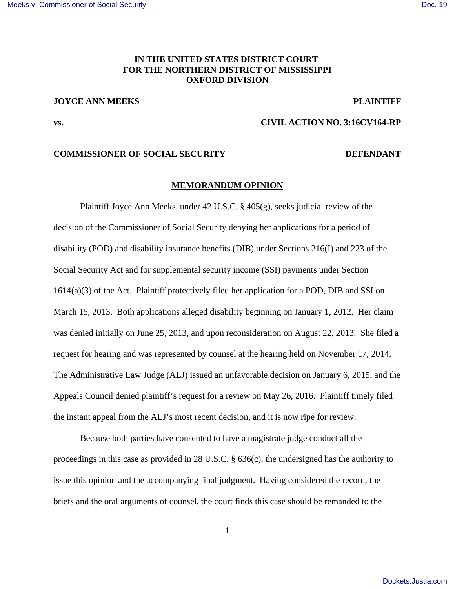## **IN THE UNITED STATES DISTRICT COURT FOR THE NORTHERN DISTRICT OF MISSISSIPPI OXFORD DIVISION**

### **JOYCE ANN MEEKS PLAINTIFF**

# **vs. CIVIL ACTION NO. 3:16CV164-RP**

#### **COMMISSIONER OF SOCIAL SECURITY DEFENDANT**

#### **MEMORANDUM OPINION**

Plaintiff Joyce Ann Meeks, under 42 U.S.C. § 405(g), seeks judicial review of the decision of the Commissioner of Social Security denying her applications for a period of disability (POD) and disability insurance benefits (DIB) under Sections 216(I) and 223 of the Social Security Act and for supplemental security income (SSI) payments under Section 1614(a)(3) of the Act. Plaintiff protectively filed her application for a POD, DIB and SSI on March 15, 2013. Both applications alleged disability beginning on January 1, 2012. Her claim was denied initially on June 25, 2013, and upon reconsideration on August 22, 2013. She filed a request for hearing and was represented by counsel at the hearing held on November 17, 2014. The Administrative Law Judge (ALJ) issued an unfavorable decision on January 6, 2015, and the Appeals Council denied plaintiff's request for a review on May 26, 2016. Plaintiff timely filed the instant appeal from the ALJ's most recent decision, and it is now ripe for review.

Because both parties have consented to have a magistrate judge conduct all the proceedings in this case as provided in 28 U.S.C. § 636(c), the undersigned has the authority to issue this opinion and the accompanying final judgment. Having considered the record, the briefs and the oral arguments of counsel, the court finds this case should be remanded to the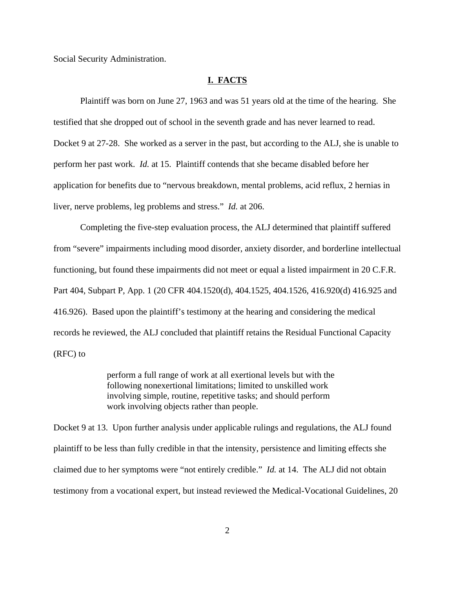Social Security Administration.

#### **I. FACTS**

Plaintiff was born on June 27, 1963 and was 51 years old at the time of the hearing. She testified that she dropped out of school in the seventh grade and has never learned to read. Docket 9 at 27-28. She worked as a server in the past, but according to the ALJ, she is unable to perform her past work. *Id.* at 15. Plaintiff contends that she became disabled before her application for benefits due to "nervous breakdown, mental problems, acid reflux, 2 hernias in liver, nerve problems, leg problems and stress." *Id.* at 206.

Completing the five-step evaluation process, the ALJ determined that plaintiff suffered from "severe" impairments including mood disorder, anxiety disorder, and borderline intellectual functioning, but found these impairments did not meet or equal a listed impairment in 20 C.F.R. Part 404, Subpart P, App. 1 (20 CFR 404.1520(d), 404.1525, 404.1526, 416.920(d) 416.925 and 416.926). Based upon the plaintiff's testimony at the hearing and considering the medical records he reviewed, the ALJ concluded that plaintiff retains the Residual Functional Capacity (RFC) to

> perform a full range of work at all exertional levels but with the following nonexertional limitations; limited to unskilled work involving simple, routine, repetitive tasks; and should perform work involving objects rather than people.

Docket 9 at 13. Upon further analysis under applicable rulings and regulations, the ALJ found plaintiff to be less than fully credible in that the intensity, persistence and limiting effects she claimed due to her symptoms were "not entirely credible." *Id.* at 14. The ALJ did not obtain testimony from a vocational expert, but instead reviewed the Medical-Vocational Guidelines, 20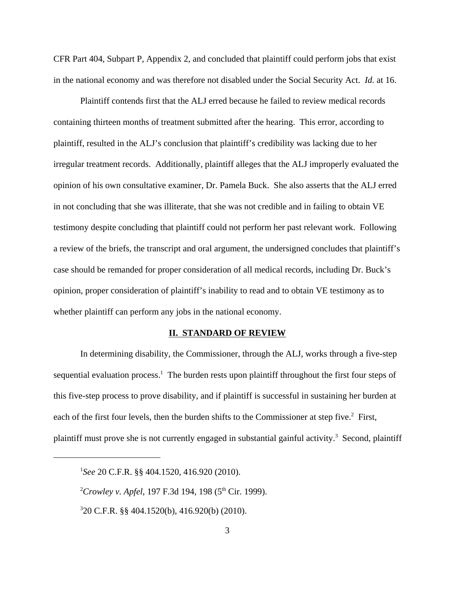CFR Part 404, Subpart P, Appendix 2, and concluded that plaintiff could perform jobs that exist in the national economy and was therefore not disabled under the Social Security Act. *Id.* at 16.

Plaintiff contends first that the ALJ erred because he failed to review medical records containing thirteen months of treatment submitted after the hearing. This error, according to plaintiff, resulted in the ALJ's conclusion that plaintiff's credibility was lacking due to her irregular treatment records. Additionally, plaintiff alleges that the ALJ improperly evaluated the opinion of his own consultative examiner, Dr. Pamela Buck. She also asserts that the ALJ erred in not concluding that she was illiterate, that she was not credible and in failing to obtain VE testimony despite concluding that plaintiff could not perform her past relevant work. Following a review of the briefs, the transcript and oral argument, the undersigned concludes that plaintiff's case should be remanded for proper consideration of all medical records, including Dr. Buck's opinion, proper consideration of plaintiff's inability to read and to obtain VE testimony as to whether plaintiff can perform any jobs in the national economy.

#### **II. STANDARD OF REVIEW**

In determining disability, the Commissioner, through the ALJ, works through a five-step sequential evaluation process.<sup>1</sup> The burden rests upon plaintiff throughout the first four steps of this five-step process to prove disability, and if plaintiff is successful in sustaining her burden at each of the first four levels, then the burden shifts to the Commissioner at step five.<sup>2</sup> First, plaintiff must prove she is not currently engaged in substantial gainful activity.<sup>3</sup> Second, plaintiff

<sup>1</sup> *See* 20 C.F.R. §§ 404.1520, 416.920 (2010).

<sup>&</sup>lt;sup>2</sup>Crowley v. Apfel, 197 F.3d 194, 198 (5<sup>th</sup> Cir. 1999).

<sup>3</sup> 20 C.F.R. §§ 404.1520(b), 416.920(b) (2010).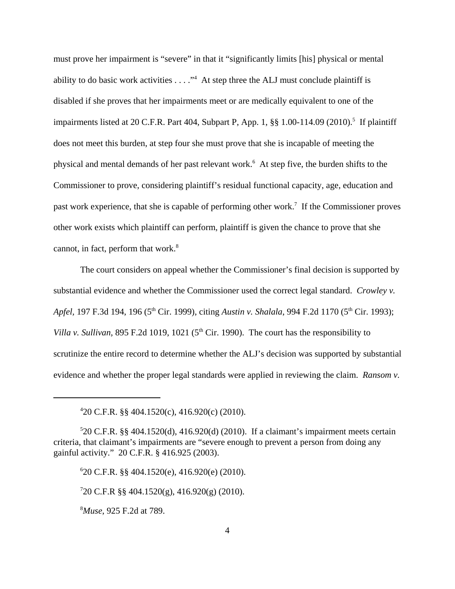must prove her impairment is "severe" in that it "significantly limits [his] physical or mental ability to do basic work activities  $\dots$ ." At step three the ALJ must conclude plaintiff is disabled if she proves that her impairments meet or are medically equivalent to one of the impairments listed at 20 C.F.R. Part 404, Subpart P, App. 1, §§ 1.00-114.09 (2010).<sup>5</sup> If plaintiff does not meet this burden, at step four she must prove that she is incapable of meeting the physical and mental demands of her past relevant work.<sup>6</sup> At step five, the burden shifts to the Commissioner to prove, considering plaintiff's residual functional capacity, age, education and past work experience, that she is capable of performing other work.<sup>7</sup> If the Commissioner proves other work exists which plaintiff can perform, plaintiff is given the chance to prove that she cannot, in fact, perform that work. $8$ 

The court considers on appeal whether the Commissioner's final decision is supported by substantial evidence and whether the Commissioner used the correct legal standard. *Crowley v. Apfel,* 197 F.3d 194, 196 (5<sup>th</sup> Cir. 1999), citing *Austin v. Shalala*, 994 F.2d 1170 (5<sup>th</sup> Cir. 1993); *Villa v. Sullivan,* 895 F.2d 1019, 1021 ( $5<sup>th</sup>$  Cir. 1990). The court has the responsibility to scrutinize the entire record to determine whether the ALJ's decision was supported by substantial evidence and whether the proper legal standards were applied in reviewing the claim. *Ransom v.*

<sup>8</sup>*Muse*, 925 F.2d at 789.

<sup>4</sup> 20 C.F.R. §§ 404.1520(c), 416.920(c) (2010).

 $520$  C.F.R. §§ 404.1520(d), 416.920(d) (2010). If a claimant's impairment meets certain criteria, that claimant's impairments are "severe enough to prevent a person from doing any gainful activity." 20 C.F.R. § 416.925 (2003).

<sup>6</sup> 20 C.F.R. §§ 404.1520(e), 416.920(e) (2010).

<sup>7</sup> 20 C.F.R §§ 404.1520(g), 416.920(g) (2010).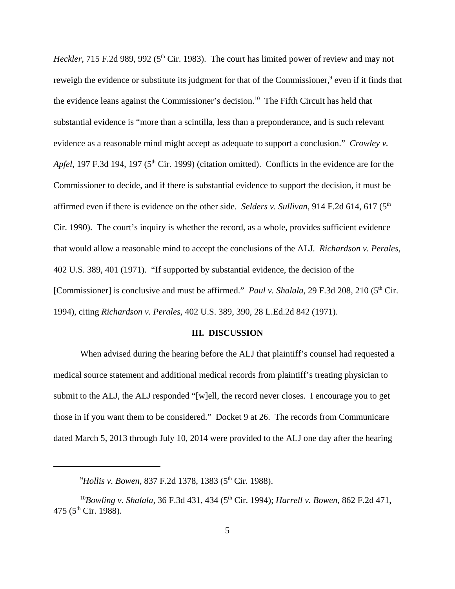*Heckler*, 715 F.2d 989, 992 (5<sup>th</sup> Cir. 1983). The court has limited power of review and may not reweigh the evidence or substitute its judgment for that of the Commissioner,<sup>9</sup> even if it finds that the evidence leans against the Commissioner's decision.<sup>10</sup> The Fifth Circuit has held that substantial evidence is "more than a scintilla, less than a preponderance, and is such relevant evidence as a reasonable mind might accept as adequate to support a conclusion." *Crowley v. Apfel*, 197 F.3d 194, 197 (5<sup>th</sup> Cir. 1999) (citation omitted). Conflicts in the evidence are for the Commissioner to decide, and if there is substantial evidence to support the decision, it must be affirmed even if there is evidence on the other side. *Selders v. Sullivan*, 914 F.2d 614, 617 (5<sup>th</sup>) Cir. 1990). The court's inquiry is whether the record, as a whole, provides sufficient evidence that would allow a reasonable mind to accept the conclusions of the ALJ. *Richardson v. Perales*, 402 U.S. 389, 401 (1971). "If supported by substantial evidence, the decision of the [Commissioner] is conclusive and must be affirmed." *Paul v. Shalala,* 29 F.3d 208, 210 (5<sup>th</sup> Cir. 1994), citing *Richardson v. Perales,* 402 U.S. 389, 390, 28 L.Ed.2d 842 (1971).

#### **III. DISCUSSION**

When advised during the hearing before the ALJ that plaintiff's counsel had requested a medical source statement and additional medical records from plaintiff's treating physician to submit to the ALJ, the ALJ responded "[w]ell, the record never closes. I encourage you to get those in if you want them to be considered." Docket 9 at 26. The records from Communicare dated March 5, 2013 through July 10, 2014 were provided to the ALJ one day after the hearing

<sup>&</sup>lt;sup>9</sup>Hollis v. Bowen, 837 F.2d 1378, 1383 (5<sup>th</sup> Cir. 1988).

<sup>&</sup>lt;sup>10</sup>Bowling v. Shalala, 36 F.3d 431, 434 (5<sup>th</sup> Cir. 1994); *Harrell v. Bowen*, 862 F.2d 471, 475 ( $5^{\text{th}}$  Cir. 1988).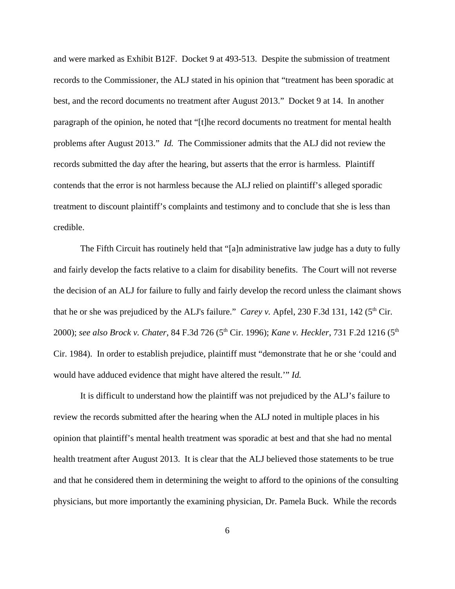and were marked as Exhibit B12F. Docket 9 at 493-513. Despite the submission of treatment records to the Commissioner, the ALJ stated in his opinion that "treatment has been sporadic at best, and the record documents no treatment after August 2013." Docket 9 at 14. In another paragraph of the opinion, he noted that "[t]he record documents no treatment for mental health problems after August 2013." *Id.* The Commissioner admits that the ALJ did not review the records submitted the day after the hearing, but asserts that the error is harmless. Plaintiff contends that the error is not harmless because the ALJ relied on plaintiff's alleged sporadic treatment to discount plaintiff's complaints and testimony and to conclude that she is less than credible.

The Fifth Circuit has routinely held that "[a]n administrative law judge has a duty to fully and fairly develop the facts relative to a claim for disability benefits. The Court will not reverse the decision of an ALJ for failure to fully and fairly develop the record unless the claimant shows that he or she was prejudiced by the ALJ's failure." *Carey v.* Apfel, 230 F.3d 131, 142 ( $5<sup>th</sup>$  Cir. 2000); see also Brock v. Chater, 84 F.3d 726 (5<sup>th</sup> Cir. 1996); *Kane v. Heckler*, 731 F.2d 1216 (5<sup>th</sup>) Cir. 1984). In order to establish prejudice, plaintiff must "demonstrate that he or she 'could and would have adduced evidence that might have altered the result.'" *Id.* 

It is difficult to understand how the plaintiff was not prejudiced by the ALJ's failure to review the records submitted after the hearing when the ALJ noted in multiple places in his opinion that plaintiff's mental health treatment was sporadic at best and that she had no mental health treatment after August 2013. It is clear that the ALJ believed those statements to be true and that he considered them in determining the weight to afford to the opinions of the consulting physicians, but more importantly the examining physician, Dr. Pamela Buck. While the records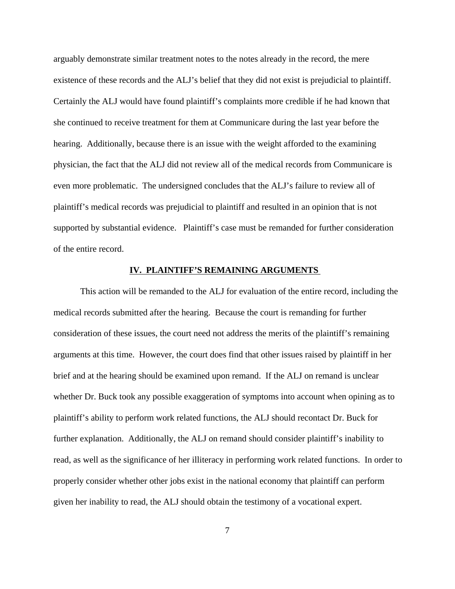arguably demonstrate similar treatment notes to the notes already in the record, the mere existence of these records and the ALJ's belief that they did not exist is prejudicial to plaintiff. Certainly the ALJ would have found plaintiff's complaints more credible if he had known that she continued to receive treatment for them at Communicare during the last year before the hearing. Additionally, because there is an issue with the weight afforded to the examining physician, the fact that the ALJ did not review all of the medical records from Communicare is even more problematic. The undersigned concludes that the ALJ's failure to review all of plaintiff's medical records was prejudicial to plaintiff and resulted in an opinion that is not supported by substantial evidence. Plaintiff's case must be remanded for further consideration of the entire record.

### **IV. PLAINTIFF'S REMAINING ARGUMENTS**

This action will be remanded to the ALJ for evaluation of the entire record, including the medical records submitted after the hearing. Because the court is remanding for further consideration of these issues, the court need not address the merits of the plaintiff's remaining arguments at this time. However, the court does find that other issues raised by plaintiff in her brief and at the hearing should be examined upon remand. If the ALJ on remand is unclear whether Dr. Buck took any possible exaggeration of symptoms into account when opining as to plaintiff's ability to perform work related functions, the ALJ should recontact Dr. Buck for further explanation. Additionally, the ALJ on remand should consider plaintiff's inability to read, as well as the significance of her illiteracy in performing work related functions. In order to properly consider whether other jobs exist in the national economy that plaintiff can perform given her inability to read, the ALJ should obtain the testimony of a vocational expert.